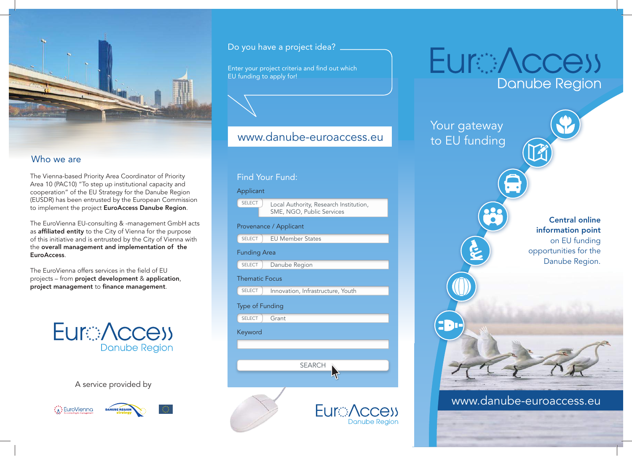

#### Who we are

The Vienna-based Priority Area Coordinator of Priority Area 10 (PAC10) "To step up institutional capacity and cooperation" of the EU Strategy for the Danube Region (EUSDR) has been entrusted by the European Commission to implement the project EuroAccess Danube Region.

The EuroVienna EU-consulting & -management GmbH acts as affiliated entity to the City of Vienna for the purpose of this initiative and is entrusted by the City of Vienna with the overall management and implementation of the EuroAccess.

The EuroVienna offers services in the field of EU projects – from project development & application, project management to finance management.



A service provided by





Do you have a project idea?

Enter your project criteria and find out which EU funding to apply for!

# www.danube-euroaccess.eu



# **EuraNccess Danube Region** Your gateway to EU funding Central online information point on EU funding opportunities for the Danube Region. www.danube-euroaccess.eu